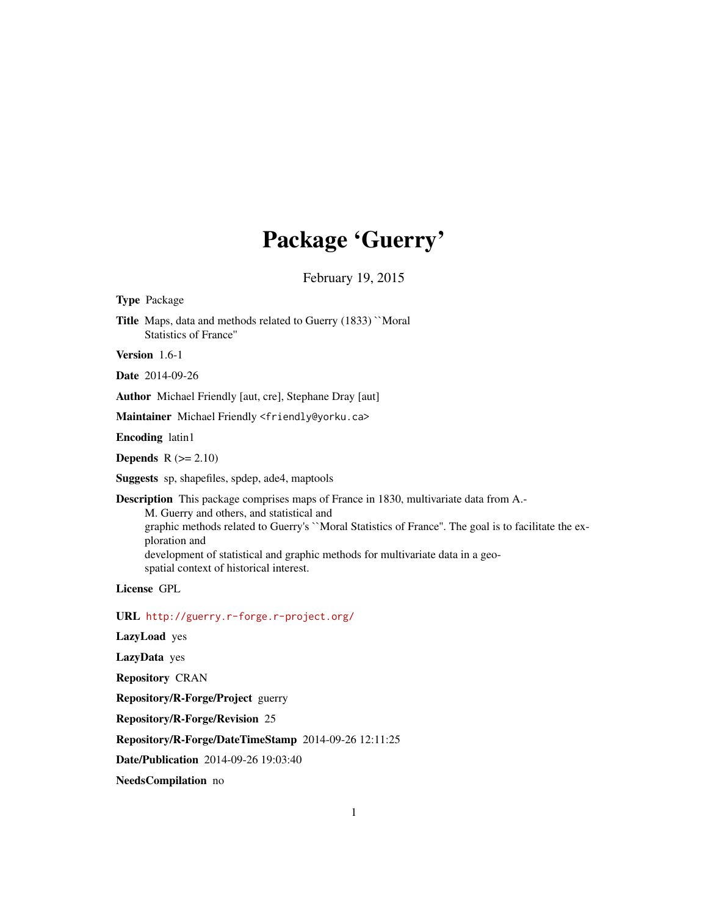## Package 'Guerry'

February 19, 2015

<span id="page-0-0"></span>Type Package

Title Maps, data and methods related to Guerry (1833) ``Moral Statistics of France''

Version 1.6-1

Date 2014-09-26

Author Michael Friendly [aut, cre], Stephane Dray [aut]

Maintainer Michael Friendly <friendly@yorku.ca>

Encoding latin1

Depends  $R (= 2.10)$ 

Suggests sp, shapefiles, spdep, ade4, maptools

Description This package comprises maps of France in 1830, multivariate data from A.-

M. Guerry and others, and statistical and graphic methods related to Guerry's ``Moral Statistics of France''. The goal is to facilitate the exploration and development of statistical and graphic methods for multivariate data in a geospatial context of historical interest.

License GPL

URL <http://guerry.r-forge.r-project.org/>

LazyLoad yes

LazyData yes

Repository CRAN

Repository/R-Forge/Project guerry

Repository/R-Forge/Revision 25

Repository/R-Forge/DateTimeStamp 2014-09-26 12:11:25

Date/Publication 2014-09-26 19:03:40

NeedsCompilation no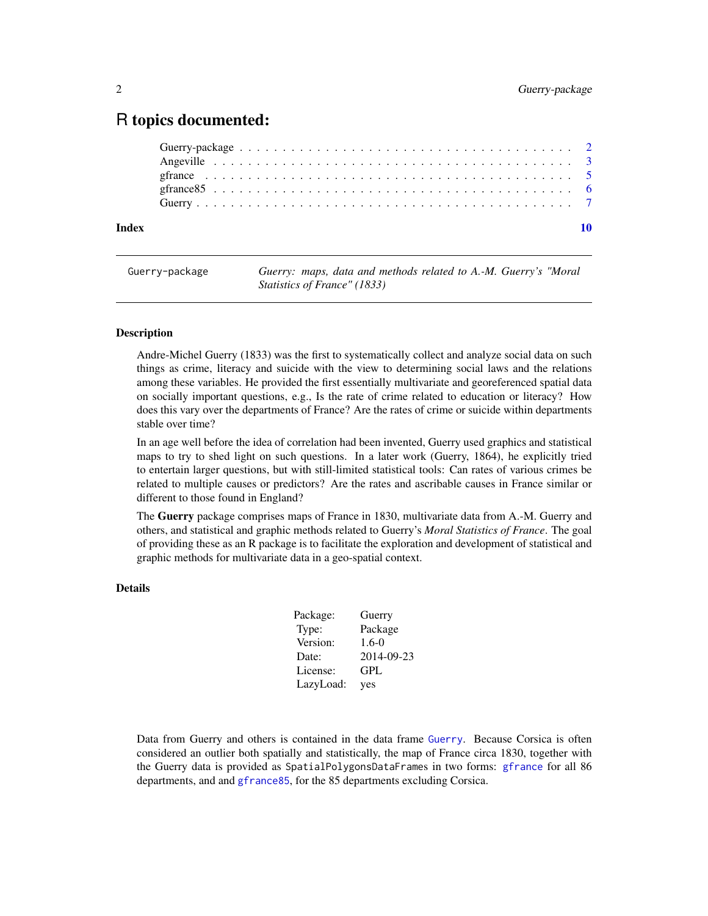### <span id="page-1-0"></span>R topics documented:

| Index |  |  |
|-------|--|--|

Guerry-package *Guerry: maps, data and methods related to A.-M. Guerry's "Moral Statistics of France" (1833)*

#### Description

Andre-Michel Guerry (1833) was the first to systematically collect and analyze social data on such things as crime, literacy and suicide with the view to determining social laws and the relations among these variables. He provided the first essentially multivariate and georeferenced spatial data on socially important questions, e.g., Is the rate of crime related to education or literacy? How does this vary over the departments of France? Are the rates of crime or suicide within departments stable over time?

In an age well before the idea of correlation had been invented, Guerry used graphics and statistical maps to try to shed light on such questions. In a later work (Guerry, 1864), he explicitly tried to entertain larger questions, but with still-limited statistical tools: Can rates of various crimes be related to multiple causes or predictors? Are the rates and ascribable causes in France similar or different to those found in England?

The Guerry package comprises maps of France in 1830, multivariate data from A.-M. Guerry and others, and statistical and graphic methods related to Guerry's *Moral Statistics of France*. The goal of providing these as an R package is to facilitate the exploration and development of statistical and graphic methods for multivariate data in a geo-spatial context.

#### Details

| Package:  | Guerry     |
|-----------|------------|
| Type:     | Package    |
| Version:  | $1.6-0$    |
| Date:     | 2014-09-23 |
| License:  | GPL        |
| LazyLoad: | yes        |

Data from Guerry and others is contained in the data frame [Guerry](#page-6-1). Because Corsica is often considered an outlier both spatially and statistically, the map of France circa 1830, together with the Guerry data is provided as SpatialPolygonsDataFrames in two forms: [gfrance](#page-4-1) for all 86 departments, and and [gfrance85](#page-5-1), for the 85 departments excluding Corsica.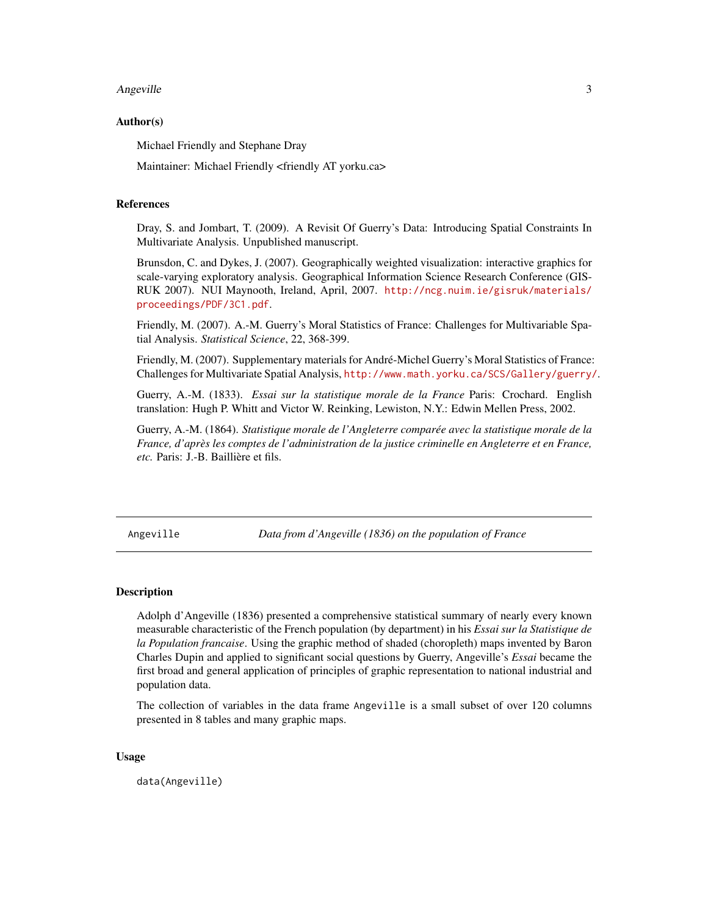#### <span id="page-2-0"></span>Angeville 3

#### Author(s)

Michael Friendly and Stephane Dray

Maintainer: Michael Friendly <friendly AT yorku.ca>

#### References

Dray, S. and Jombart, T. (2009). A Revisit Of Guerry's Data: Introducing Spatial Constraints In Multivariate Analysis. Unpublished manuscript.

Brunsdon, C. and Dykes, J. (2007). Geographically weighted visualization: interactive graphics for scale-varying exploratory analysis. Geographical Information Science Research Conference (GIS-RUK 2007). NUI Maynooth, Ireland, April, 2007. [http://ncg.nuim.ie/gisruk/materials/](http://ncg.nuim.ie/gisruk/materials/proceedings/PDF/3C1.pdf) [proceedings/PDF/3C1.pdf](http://ncg.nuim.ie/gisruk/materials/proceedings/PDF/3C1.pdf).

Friendly, M. (2007). A.-M. Guerry's Moral Statistics of France: Challenges for Multivariable Spatial Analysis. *Statistical Science*, 22, 368-399.

Friendly, M. (2007). Supplementary materials for André-Michel Guerry's Moral Statistics of France: Challenges for Multivariate Spatial Analysis, <http://www.math.yorku.ca/SCS/Gallery/guerry/>.

Guerry, A.-M. (1833). *Essai sur la statistique morale de la France* Paris: Crochard. English translation: Hugh P. Whitt and Victor W. Reinking, Lewiston, N.Y.: Edwin Mellen Press, 2002.

Guerry, A.-M. (1864). *Statistique morale de l'Angleterre comparée avec la statistique morale de la France, d'après les comptes de l'administration de la justice criminelle en Angleterre et en France, etc.* Paris: J.-B. Baillière et fils.

<span id="page-2-1"></span>Angeville *Data from d'Angeville (1836) on the population of France*

#### Description

Adolph d'Angeville (1836) presented a comprehensive statistical summary of nearly every known measurable characteristic of the French population (by department) in his *Essai sur la Statistique de la Population francaise*. Using the graphic method of shaded (choropleth) maps invented by Baron Charles Dupin and applied to significant social questions by Guerry, Angeville's *Essai* became the first broad and general application of principles of graphic representation to national industrial and population data.

The collection of variables in the data frame Angeville is a small subset of over 120 columns presented in 8 tables and many graphic maps.

#### Usage

data(Angeville)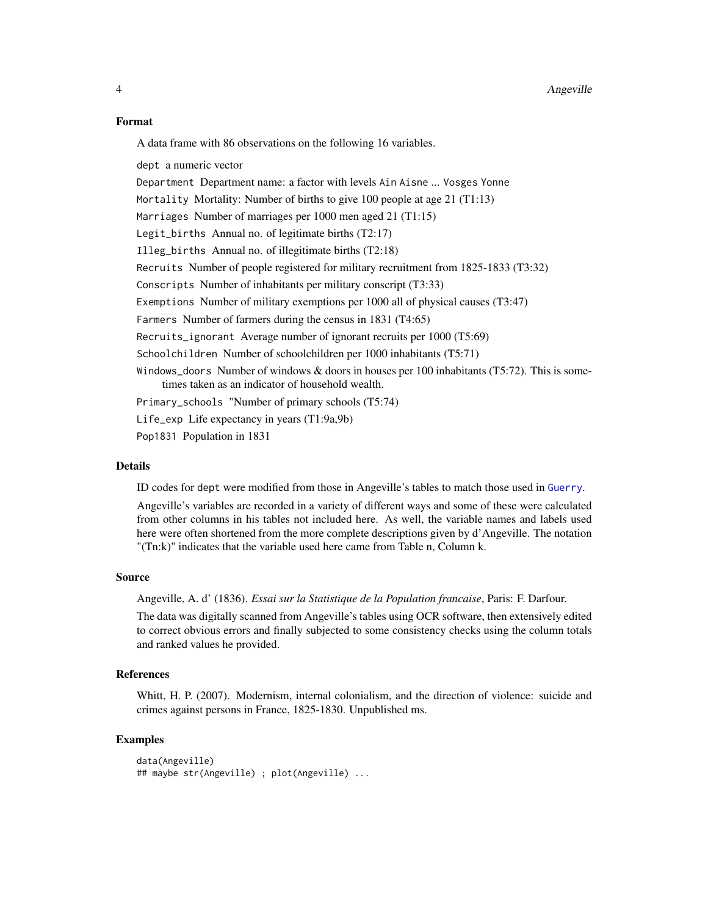#### <span id="page-3-0"></span>Format

A data frame with 86 observations on the following 16 variables.

dept a numeric vector

Department Department name: a factor with levels Ain Aisne ... Vosges Yonne

Mortality Mortality: Number of births to give 100 people at age 21 (T1:13)

Marriages Number of marriages per 1000 men aged 21 (T1:15)

Legit\_births Annual no. of legitimate births (T2:17)

Illeg\_births Annual no. of illegitimate births (T2:18)

Recruits Number of people registered for military recruitment from 1825-1833 (T3:32)

Conscripts Number of inhabitants per military conscript (T3:33)

Exemptions Number of military exemptions per 1000 all of physical causes (T3:47) Farmers Number of farmers during the census in 1831 (T4:65)

Recruits\_ignorant Average number of ignorant recruits per 1000 (T5:69)

Schoolchildren Number of schoolchildren per 1000 inhabitants (T5:71)

Windows\_doors Number of windows  $&$  doors in houses per 100 inhabitants (T5:72). This is sometimes taken as an indicator of household wealth.

Primary\_schools "Number of primary schools (T5:74)

Life\_exp Life expectancy in years (T1:9a,9b)

Pop1831 Population in 1831

#### Details

ID codes for dept were modified from those in Angeville's tables to match those used in [Guerry](#page-6-1).

Angeville's variables are recorded in a variety of different ways and some of these were calculated from other columns in his tables not included here. As well, the variable names and labels used here were often shortened from the more complete descriptions given by d'Angeville. The notation "(Tn:k)" indicates that the variable used here came from Table n, Column k.

#### Source

Angeville, A. d' (1836). *Essai sur la Statistique de la Population francaise*, Paris: F. Darfour.

The data was digitally scanned from Angeville's tables using OCR software, then extensively edited to correct obvious errors and finally subjected to some consistency checks using the column totals and ranked values he provided.

#### References

Whitt, H. P. (2007). Modernism, internal colonialism, and the direction of violence: suicide and crimes against persons in France, 1825-1830. Unpublished ms.

#### Examples

```
data(Angeville)
## maybe str(Angeville) ; plot(Angeville) ...
```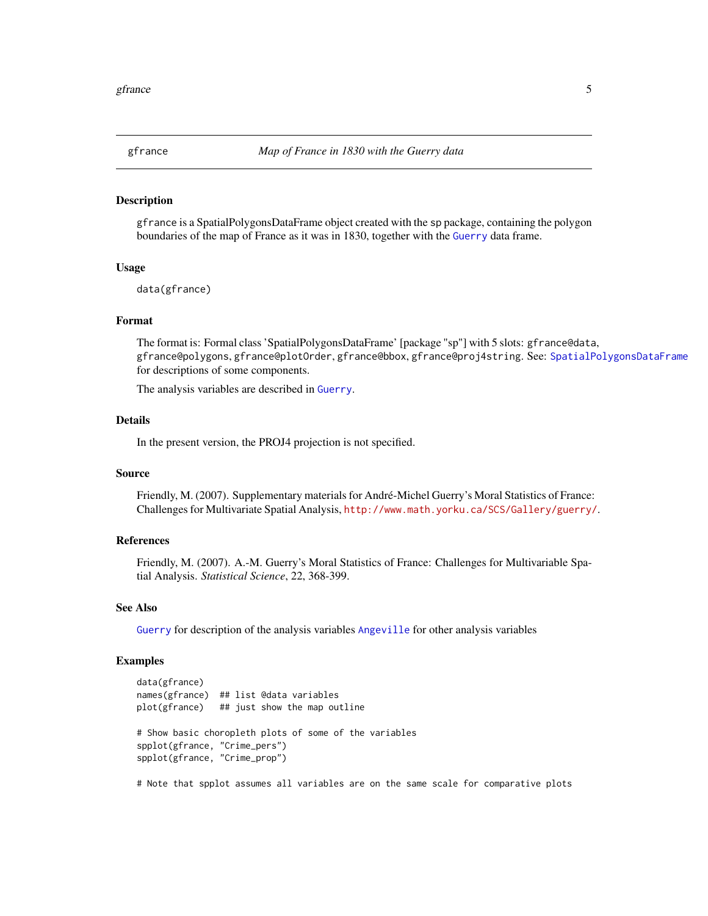<span id="page-4-1"></span><span id="page-4-0"></span>

#### Description

gfrance is a SpatialPolygonsDataFrame object created with the sp package, containing the polygon boundaries of the map of France as it was in 1830, together with the [Guerry](#page-6-1) data frame.

#### Usage

data(gfrance)

#### Format

The format is: Formal class 'SpatialPolygonsDataFrame' [package "sp"] with 5 slots: gfrance@data, gfrance@polygons, gfrance@plotOrder, gfrance@bbox, gfrance@proj4string. See: [SpatialPolygonsDataFrame](#page-0-0) for descriptions of some components.

The analysis variables are described in [Guerry](#page-6-1).

#### Details

In the present version, the PROJ4 projection is not specified.

#### Source

Friendly, M. (2007). Supplementary materials for André-Michel Guerry's Moral Statistics of France: Challenges for Multivariate Spatial Analysis, <http://www.math.yorku.ca/SCS/Gallery/guerry/>.

#### References

Friendly, M. (2007). A.-M. Guerry's Moral Statistics of France: Challenges for Multivariable Spatial Analysis. *Statistical Science*, 22, 368-399.

#### See Also

[Guerry](#page-6-1) for description of the analysis variables [Angeville](#page-2-1) for other analysis variables

#### Examples

```
data(gfrance)
names(gfrance) ## list @data variables
plot(gfrance) ## just show the map outline
# Show basic choropleth plots of some of the variables
spplot(gfrance, "Crime_pers")
spplot(gfrance, "Crime_prop")
# Note that spplot assumes all variables are on the same scale for comparative plots
```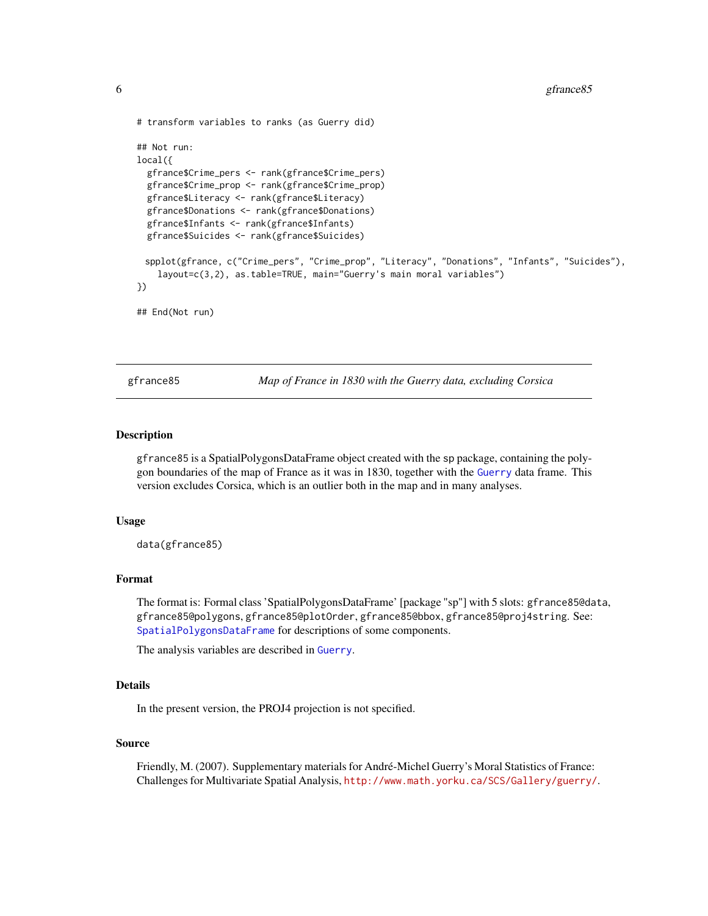```
# transform variables to ranks (as Guerry did)
## Not run:
local({
 gfrance$Crime_pers <- rank(gfrance$Crime_pers)
 gfrance$Crime_prop <- rank(gfrance$Crime_prop)
 gfrance$Literacy <- rank(gfrance$Literacy)
 gfrance$Donations <- rank(gfrance$Donations)
 gfrance$Infants <- rank(gfrance$Infants)
 gfrance$Suicides <- rank(gfrance$Suicides)
 spplot(gfrance, c("Crime_pers", "Crime_prop", "Literacy", "Donations", "Infants", "Suicides"),
    layout=c(3,2), as.table=TRUE, main="Guerry's main moral variables")
})
## End(Not run)
```
<span id="page-5-1"></span>gfrance85 *Map of France in 1830 with the Guerry data, excluding Corsica*

#### Description

gfrance85 is a SpatialPolygonsDataFrame object created with the sp package, containing the polygon boundaries of the map of France as it was in 1830, together with the [Guerry](#page-6-1) data frame. This version excludes Corsica, which is an outlier both in the map and in many analyses.

#### Usage

data(gfrance85)

#### Format

The format is: Formal class 'SpatialPolygonsDataFrame' [package "sp"] with 5 slots: gfrance85@data, gfrance85@polygons, gfrance85@plotOrder, gfrance85@bbox, gfrance85@proj4string. See: [SpatialPolygonsDataFrame](#page-0-0) for descriptions of some components.

The analysis variables are described in [Guerry](#page-6-1).

#### **Details**

In the present version, the PROJ4 projection is not specified.

#### Source

Friendly, M. (2007). Supplementary materials for André-Michel Guerry's Moral Statistics of France: Challenges for Multivariate Spatial Analysis, <http://www.math.yorku.ca/SCS/Gallery/guerry/>.

<span id="page-5-0"></span>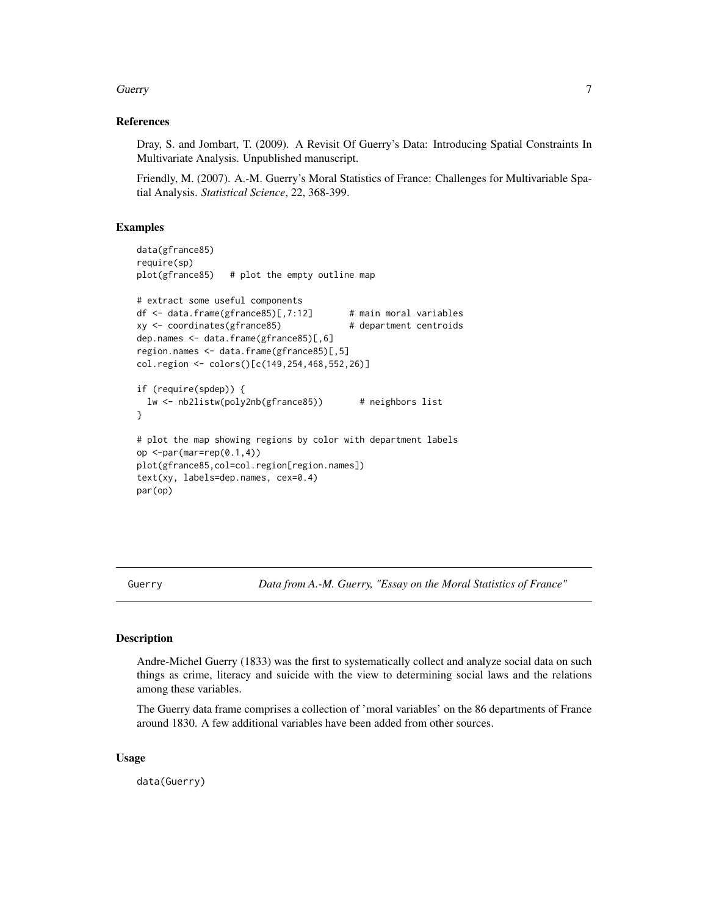#### <span id="page-6-0"></span>Guerry 2008 and 2008 and 2008 and 2008 and 2008 and 2008 and 2008 and 2008 and 2008 and 2008 and 2008 and 2008

#### References

Dray, S. and Jombart, T. (2009). A Revisit Of Guerry's Data: Introducing Spatial Constraints In Multivariate Analysis. Unpublished manuscript.

Friendly, M. (2007). A.-M. Guerry's Moral Statistics of France: Challenges for Multivariable Spatial Analysis. *Statistical Science*, 22, 368-399.

#### Examples

```
data(gfrance85)
require(sp)
plot(gfrance85) # plot the empty outline map
# extract some useful components
df <- data.frame(gfrance85)[,7:12] # main moral variables
xy <- coordinates(gfrance85) # department centroids
dep.names <- data.frame(gfrance85)[,6]
region.names <- data.frame(gfrance85)[,5]
col.region <- colors()[c(149,254,468,552,26)]
if (require(spdep)) {
 lw <- nb2listw(poly2nb(gfrance85)) # neighbors list
}
# plot the map showing regions by color with department labels
op \leq-par(mar=rep(0.1,4))
plot(gfrance85,col=col.region[region.names])
text(xy, labels=dep.names, cex=0.4)
par(op)
```
<span id="page-6-1"></span>Guerry *Data from A.-M. Guerry, "Essay on the Moral Statistics of France"*

#### **Description**

Andre-Michel Guerry (1833) was the first to systematically collect and analyze social data on such things as crime, literacy and suicide with the view to determining social laws and the relations among these variables.

The Guerry data frame comprises a collection of 'moral variables' on the 86 departments of France around 1830. A few additional variables have been added from other sources.

#### Usage

data(Guerry)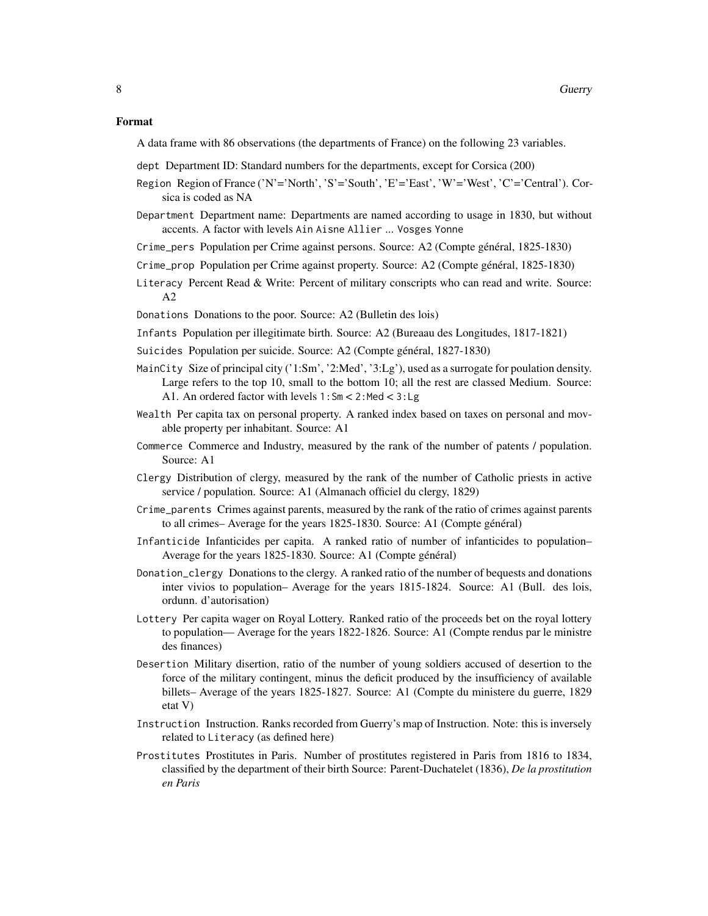A data frame with 86 observations (the departments of France) on the following 23 variables.

- dept Department ID: Standard numbers for the departments, except for Corsica (200)
- Region Region of France ('N'='North', 'S'='South', 'E'='East', 'W'='West', 'C'='Central'). Corsica is coded as NA
- Department Department name: Departments are named according to usage in 1830, but without accents. A factor with levels Ain Aisne Allier ... Vosges Yonne
- Crime\_pers Population per Crime against persons. Source: A2 (Compte général, 1825-1830)
- Crime\_prop Population per Crime against property. Source: A2 (Compte général, 1825-1830)
- Literacy Percent Read & Write: Percent of military conscripts who can read and write. Source: A2
- Donations Donations to the poor. Source: A2 (Bulletin des lois)
- Infants Population per illegitimate birth. Source: A2 (Bureaau des Longitudes, 1817-1821)
- Suicides Population per suicide. Source: A2 (Compte général, 1827-1830)
- MainCity Size of principal city ('1:Sm', '2:Med', '3:Lg'), used as a surrogate for poulation density. Large refers to the top 10, small to the bottom 10; all the rest are classed Medium. Source: A1. An ordered factor with levels 1:Sm < 2:Med < 3:Lg
- Wealth Per capita tax on personal property. A ranked index based on taxes on personal and movable property per inhabitant. Source: A1
- Commerce Commerce and Industry, measured by the rank of the number of patents / population. Source: A1
- Clergy Distribution of clergy, measured by the rank of the number of Catholic priests in active service / population. Source: A1 (Almanach officiel du clergy, 1829)
- Crime\_parents Crimes against parents, measured by the rank of the ratio of crimes against parents to all crimes– Average for the years 1825-1830. Source: A1 (Compte général)
- Infanticide Infanticides per capita. A ranked ratio of number of infanticides to population– Average for the years 1825-1830. Source: A1 (Compte général)
- Donation\_clergy Donations to the clergy. A ranked ratio of the number of bequests and donations inter vivios to population– Average for the years 1815-1824. Source: A1 (Bull. des lois, ordunn. d'autorisation)
- Lottery Per capita wager on Royal Lottery. Ranked ratio of the proceeds bet on the royal lottery to population— Average for the years 1822-1826. Source: A1 (Compte rendus par le ministre des finances)
- Desertion Military disertion, ratio of the number of young soldiers accused of desertion to the force of the military contingent, minus the deficit produced by the insufficiency of available billets– Average of the years 1825-1827. Source: A1 (Compte du ministere du guerre, 1829 etat V)
- Instruction Instruction. Ranks recorded from Guerry's map of Instruction. Note: this is inversely related to Literacy (as defined here)
- Prostitutes Prostitutes in Paris. Number of prostitutes registered in Paris from 1816 to 1834, classified by the department of their birth Source: Parent-Duchatelet (1836), *De la prostitution en Paris*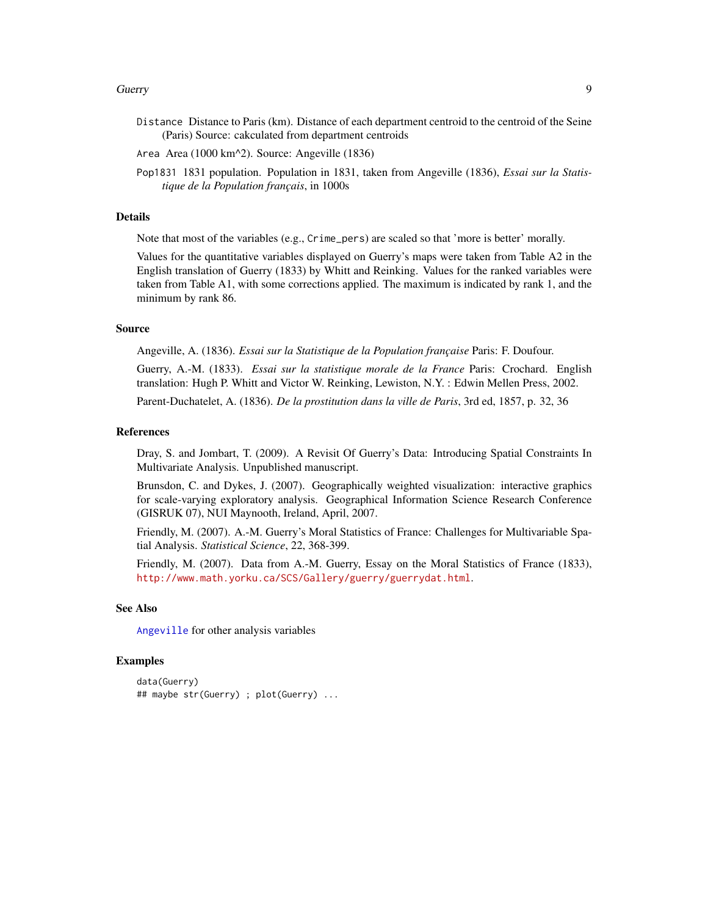#### <span id="page-8-0"></span>Guerry 2008 - 1999 - 1999 - 1999 - 1999 - 1999 - 1999 - 1999 - 1999 - 1999 - 1999 - 1999 - 1999 - 1999 - 1999

- Distance Distance to Paris (km). Distance of each department centroid to the centroid of the Seine (Paris) Source: cakculated from department centroids
- Area Area (1000 km^2). Source: Angeville (1836)
- Pop1831 1831 population. Population in 1831, taken from Angeville (1836), *Essai sur la Statistique de la Population français*, in 1000s

#### Details

Note that most of the variables (e.g., Crime\_pers) are scaled so that 'more is better' morally.

Values for the quantitative variables displayed on Guerry's maps were taken from Table A2 in the English translation of Guerry (1833) by Whitt and Reinking. Values for the ranked variables were taken from Table A1, with some corrections applied. The maximum is indicated by rank 1, and the minimum by rank 86.

#### Source

Angeville, A. (1836). *Essai sur la Statistique de la Population française* Paris: F. Doufour.

Guerry, A.-M. (1833). *Essai sur la statistique morale de la France* Paris: Crochard. English translation: Hugh P. Whitt and Victor W. Reinking, Lewiston, N.Y. : Edwin Mellen Press, 2002.

Parent-Duchatelet, A. (1836). *De la prostitution dans la ville de Paris*, 3rd ed, 1857, p. 32, 36

#### References

Dray, S. and Jombart, T. (2009). A Revisit Of Guerry's Data: Introducing Spatial Constraints In Multivariate Analysis. Unpublished manuscript.

Brunsdon, C. and Dykes, J. (2007). Geographically weighted visualization: interactive graphics for scale-varying exploratory analysis. Geographical Information Science Research Conference (GISRUK 07), NUI Maynooth, Ireland, April, 2007.

Friendly, M. (2007). A.-M. Guerry's Moral Statistics of France: Challenges for Multivariable Spatial Analysis. *Statistical Science*, 22, 368-399.

Friendly, M. (2007). Data from A.-M. Guerry, Essay on the Moral Statistics of France (1833), <http://www.math.yorku.ca/SCS/Gallery/guerry/guerrydat.html>.

#### See Also

[Angeville](#page-2-1) for other analysis variables

#### Examples

```
data(Guerry)
## maybe str(Guerry) ; plot(Guerry) ...
```